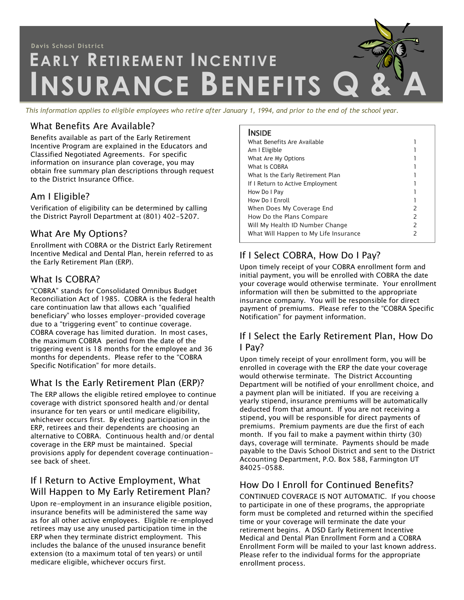

*This information applies to eligible employees who retire after January 1, 1994, and prior to the end of the school year.*

# What Benefits Are Available?

Benefits available as part of the Early Retirement Incentive Program are explained in the Educators and Classified Negotiated Agreements. For specific information on insurance plan coverage, you may obtain free summary plan descriptions through request to the District Insurance Office.

# Am I Eligible?

Verification of eligibility can be determined by calling the District Payroll Department at (801) 402-5207.

#### What Are My Options?

Enrollment with COBRA or the District Early Retirement Incentive Medical and Dental Plan, herein referred to as the Early Retirement Plan (ERP).

# What Is COBRA?

"COBRA" stands for Consolidated Omnibus Budget Reconciliation Act of 1985. COBRA is the federal health care continuation law that allows each "qualified beneficiary" who losses employer-provided coverage due to a "triggering event" to continue coverage. COBRA coverage has limited duration. In most cases, the maximum COBRA period from the date of the triggering event is 18 months for the employee and 36 months for dependents. Please refer to the "COBRA Specific Notification" for more details.

# What Is the Early Retirement Plan (ERP)?

The ERP allows the eligible retired employee to continue coverage with district sponsored health and/or dental insurance for ten years or until medicare eligibility, whichever occurs first. By electing participation in the ERP, retirees and their dependents are choosing an alternative to COBRA. Continuous health and/or dental coverage in the ERP must be maintained. Special provisions apply for dependent coverage continuationsee back of sheet.

## If I Return to Active Employment, What Will Happen to My Early Retirement Plan?

Upon re-employment in an insurance eligible position, insurance benefits will be administered the same way as for all other active employees. Eligible re-employed retirees may use any unused participation time in the ERP when they terminate district employment. This includes the balance of the unused insurance benefit extension (to a maximum total of ten years) or until medicare eligible, whichever occurs first.

#### INSIDE

| What Benefits Are Available           |   |
|---------------------------------------|---|
| Am I Eligible                         |   |
| What Are My Options                   |   |
| What Is COBRA                         |   |
| What Is the Early Retirement Plan     |   |
| If I Return to Active Employment      |   |
| How Do I Pay                          |   |
| How Do I Enroll                       |   |
| When Does My Coverage End             | 2 |
| How Do the Plans Compare              | 2 |
| Will My Health ID Number Change       | 2 |
| What Will Happen to My Life Insurance | 2 |
|                                       |   |

# If I Select COBRA, How Do I Pay?

Upon timely receipt of your COBRA enrollment form and initial payment, you will be enrolled with COBRA the date your coverage would otherwise terminate. Your enrollment information will then be submitted to the appropriate insurance company. You will be responsible for direct payment of premiums. Please refer to the "COBRA Specific Notification" for payment information.

#### If I Select the Early Retirement Plan, How Do I Pay?

Upon timely receipt of your enrollment form, you will be enrolled in coverage with the ERP the date your coverage would otherwise terminate. The District Accounting Department will be notified of your enrollment choice, and a payment plan will be initiated. If you are receiving a yearly stipend, insurance premiums will be automatically deducted from that amount. If you are not receiving a stipend, you will be responsible for direct payments of premiums. Premium payments are due the first of each month. If you fail to make a payment within thirty (30) days, coverage will terminate. Payments should be made payable to the Davis School District and sent to the District Accounting Department, P.O. Box 588, Farmington UT 84025-0588.

# How Do I Enroll for Continued Benefits?

CONTINUED COVERAGE IS NOT AUTOMATIC. If you choose to participate in one of these programs, the appropriate form must be completed and returned within the specified time or your coverage will terminate the date your retirement begins. A DSD Early Retirement Incentive Medical and Dental Plan Enrollment Form and a COBRA Enrollment Form will be mailed to your last known address. Please refer to the individual forms for the appropriate enrollment process.